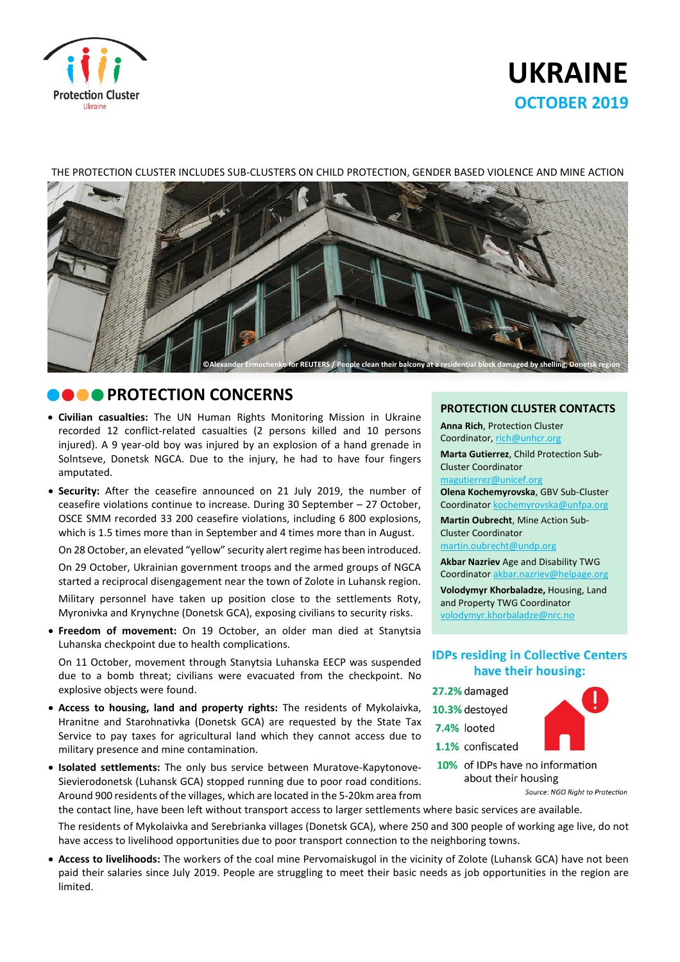

# **UKRAINE OCTOBER 2019**

#### THE PROTECTION CLUSTER INCLUDES SUB-CLUSTERS ON CHILD PROTECTION, GENDER BASED VIOLENCE AND MINE ACTION



# **ROTECTION CONCERNS**

- **Civilian casualties:** The UN Human Rights Monitoring Mission in Ukraine recorded 12 conflict-related casualties (2 persons killed and 10 persons injured). A 9 year-old boy was injured by an explosion of a hand grenade in Solntseve, Donetsk NGCA. Due to the injury, he had to have four fingers amputated.
- **Security:** After the ceasefire announced on 21 July 2019, the number of ceasefire violations continue to increase. During 30 September – 27 October, OSCE SMM recorded 33 200 ceasefire violations, including 6 800 explosions, which is 1.5 times more than in September and 4 times more than in August.

On 28 October, an elevated "yellow" security alert regime has been introduced.

On 29 October, Ukrainian government troops and the armed groups of NGCA started a reciprocal disengagement near the town of Zolote in Luhansk region.

Military personnel have taken up position close to the settlements Roty, Myronivka and Krynychne (Donetsk GCA), exposing civilians to security risks.

 **Freedom of movement:** On 19 October, an older man died at Stanytsia Luhanska checkpoint due to health complications.

On 11 October, movement through Stanytsia Luhanska EECP was suspended due to a bomb threat; civilians were evacuated from the checkpoint. No explosive objects were found.

 **Access to housing, land and property rights:** The residents of Mykolaivka, Hranitne and Starohnativka (Donetsk GCA) are requested by the State Tax Service to pay taxes for agricultural land which they cannot access due to military presence and mine contamination.

 **Isolated settlements:** The only bus service between Muratove-Kapytonove-Sievierodonetsk (Luhansk GCA) stopped running due to poor road conditions. Around 900 residents of the villages, which are located in the 5-20km area from **PROTECTION CLUSTER CONTACTS**

**Anna Rich**, Protection Cluster Coordinator, [rich@unhcr.org](mailto:rich@unhcr.org)

**Marta Gutierrez**, Child Protection Sub-Cluster Coordinator

[magutierrez@unicef.org](mailto:magutierrez@unicef.org)

**Olena Kochemyrovska**, GBV Sub-Cluster Coordinator [kochemyrovska@unfpa.org](mailto:kristesashvili@unfpa.org)

**Martin Oubrecht**, Mine Action Sub-Cluster Coordinator

[martin.oubrecht@undp.org](mailto:martin.oubrecht@undp.org)

**Akbar Nazriev** Age and Disability TWG Coordinator akbar.nazriev@helpage.org

**Volodymyr Khorbaladze,** Housing, Land and Property TWG Coordinator [volodymyr.khorbaladze@nrc.no](mailto:volodymyr.khorbaladze@nrc.no)

### **IDPs residing in Collective Centers** have their housing:

27.2% damaged 10.3% destoyed

7.4% looted 1.1% confiscated



10% of IDPs have no information about their housing

Source: NGO Right to Protection

the contact line, have been left without transport access to larger settlements where basic services are available.

The residents of Mykolaivka and Serebrianka villages (Donetsk GCA), where 250 and 300 people of working age live, do not have access to livelihood opportunities due to poor transport connection to the neighboring towns.

 **Access to livelihoods:** The workers of the coal mine Pervomaiskugol in the vicinity of Zolote (Luhansk GCA) have not been paid their salaries since July 2019. People are struggling to meet their basic needs as job opportunities in the region are limited.